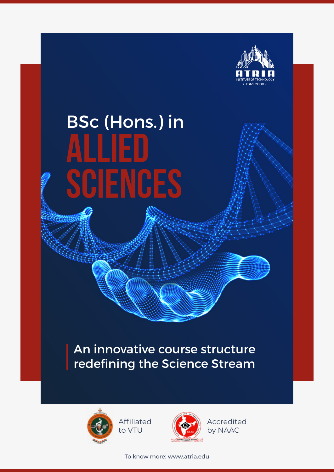

# BSc (Hons.) in **Allied Sciences**

### An innovative course structure redefining the Science Stream



Affiliated to VTU



Accredited by NAAC

To know more: www.atria.edu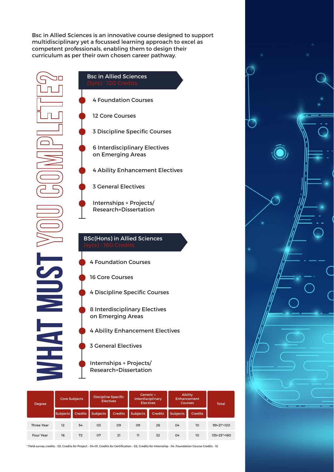Bsc in Allied Sciences is an innovative course designed to support multidisciplinary yet a focussed learning approach to excel as competent professionals, enabling them to design their curriculum as per their own chosen career pathway.

Bsc in Allied Sciences

4 Foundation Courses

12 Core Courses

3 Discipline Specific Courses

6 Interdisciplinary Electives on Emerging Areas

4 Ability Enhancement Electives

3 General Electives

Internships + Projects/ Research+Dissertation

#### BSc(Hons) in Allied Sciences

4 Foundation Courses

16 Core Courses

4 Discipline Specific Courses

8 Interdisciplinary Electives on Emerging Areas

4 Ability Enhancement Electives

3 General Electives

Internships + Projects/ Research+Dissertation

| Degree            | <b>Core Subjects</b> |                | Discipline Specific<br><b>Electives</b> |                | Generic+<br><b>Interdisciplinary</b><br><b>Electives</b> |                | <b>Ability</b><br>Enhancement<br><b>Courses</b> |                 | <b>Total</b>  |
|-------------------|----------------------|----------------|-----------------------------------------|----------------|----------------------------------------------------------|----------------|-------------------------------------------------|-----------------|---------------|
|                   | Subjects             | <b>Credits</b> | <b>Subjects</b>                         | <b>Credits</b> | <b>Subjects</b>                                          | <b>Credits</b> | <b>Subjects</b>                                 | <b>Credits</b>  |               |
| <b>Three Year</b> | 12                   | 54             | 03                                      | 09             | 09                                                       | 26             | 04                                              | 10 <sup>2</sup> | 99+21*=120    |
| Four Year         | 16                   | 72             | 07                                      | 21             | 11                                                       | 32             | 04                                              | 10              | $135+25*=160$ |

\* Field survey credits - 02, Credits for Project - 04+01, Credits for Certification - 02, Credits for Internship - 04, Foundation Course Credits - 12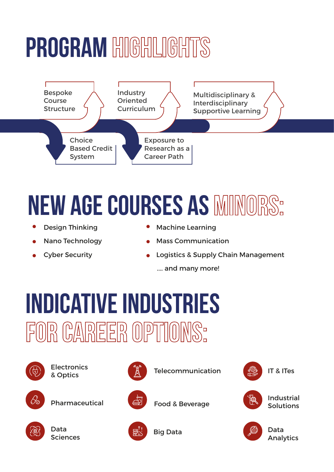# PROGRAM HIGHLIGHTS



# **new age courses as**

- $\bullet$ Design Thinking
- Nano Technology
- Cyber Security
- Machine Learning
- Mass Communication
- Logistics & Supply Chain Management .... and many more!

## **Indicative Industries** FOR CAREER OPTIONS:



**Electronics** 







**Electronics Telecommunication**  $\begin{pmatrix} 2 \\ 4 \end{pmatrix}$  Telecommunication  $\begin{pmatrix} 40 \\ 125 \end{pmatrix}$  IT & ITes







Data Analytics



Sciences



Big Data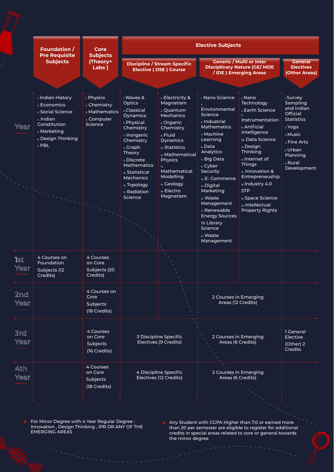|             | <b>Foundation /</b>                                                                                                                | Core                                                                   | <b>Elective Subjects</b>                                                                                                                                                                                                                                             |                                                                                                                                                                                                                                                                           |                                                                                                                                                                                                                                                                                                                                                                     |                                                                                                                                                                                                                                                                                                                            |                                                                                                                                                              |  |  |
|-------------|------------------------------------------------------------------------------------------------------------------------------------|------------------------------------------------------------------------|----------------------------------------------------------------------------------------------------------------------------------------------------------------------------------------------------------------------------------------------------------------------|---------------------------------------------------------------------------------------------------------------------------------------------------------------------------------------------------------------------------------------------------------------------------|---------------------------------------------------------------------------------------------------------------------------------------------------------------------------------------------------------------------------------------------------------------------------------------------------------------------------------------------------------------------|----------------------------------------------------------------------------------------------------------------------------------------------------------------------------------------------------------------------------------------------------------------------------------------------------------------------------|--------------------------------------------------------------------------------------------------------------------------------------------------------------|--|--|
|             | <b>Pre Requisite</b><br><b>Subjects</b>                                                                                            | <b>Subjects</b><br>(Theory+<br>Labs)                                   |                                                                                                                                                                                                                                                                      | <b>Discipline / Stream Specific</b><br><b>Elective (DSE) Course</b>                                                                                                                                                                                                       | <b>Generic / Multi or Inter</b><br><b>Disciplinary Nature (GE/ MDE</b><br>/IDE) Emerging Areas                                                                                                                                                                                                                                                                      | <b>General</b><br><b>Electives</b><br>(Other Areas)                                                                                                                                                                                                                                                                        |                                                                                                                                                              |  |  |
|             |                                                                                                                                    |                                                                        |                                                                                                                                                                                                                                                                      |                                                                                                                                                                                                                                                                           |                                                                                                                                                                                                                                                                                                                                                                     |                                                                                                                                                                                                                                                                                                                            |                                                                                                                                                              |  |  |
| Year        | 1. Indian History<br>2. Economics<br>3. Social Science<br>4. Indian<br>Constitution<br>s. Marketing<br>6. Design Thinking<br>z PBL | 1. Physics<br>2. Chemistry<br>3. Mathematics<br>4. Computer<br>Science | L Waves &<br>Optics<br>3. Classical<br><b>Dynamics</b><br>s. Physical<br>Chemistry<br>z Inorganic<br>Chemistry<br>9. Graph<br><b>Theory</b><br>11. Discrete<br><b>Mathematics</b><br>13. Statistical<br><b>Mechanics</b><br>15. Topology<br>17. Radiation<br>Science | 2 Electricity &<br>Magnetism<br>4. Quantum<br><b>Mechanics</b><br>6. Organic<br>Chemistry<br><sub>8</sub> Fluid<br><b>Dynamics</b><br>10. Statistics<br>12. Mathematical<br><b>Physics</b><br>14.<br>Mathematical<br>Modelling<br>16. Geology<br>18. Electro<br>Magnetism | L Nano Science<br>$\mathbf{z}$<br>Environmental<br>Science<br>s. Industrial<br><b>Mathematics</b><br>z Machine<br>Learning<br>9. Data<br>Analytics<br>11. Big Data<br>n. Cyber<br>Security<br>13. E- Commerce<br>15. Digital<br>Marketing<br>15. Waste<br>Management<br>17. Renewable<br><b>Energy Sources</b><br>19. Library<br>Science<br>21. Waste<br>Management | 2 Nano<br>Technology<br>4 Earth Science<br>Instrumentation<br>a. Artificial<br>Intelligence<br>10. Data Science<br>12. Design<br>Thinking<br>$n2$ Internet of<br><b>Things</b><br>14. Innovation &<br>Entrepreneuship<br>16. Industry 4.0<br><b>STP</b><br>18. Space Science<br>20. Intellectual<br><b>Property Rights</b> | 1. Survev<br>Sampling<br>and Indian<br><b>Official</b><br>Statistics<br>2. Yoga<br>3. Music<br>4 Fine Arts<br>s Urban<br>Planning<br>6. Rural<br>Development |  |  |
| 1st<br>Year | 4 Courses on<br><b>Foundation</b><br>Subjects (12<br>Credits)                                                                      | 4 Courses<br>on Core<br>Subjects (20<br>Credits)                       |                                                                                                                                                                                                                                                                      |                                                                                                                                                                                                                                                                           |                                                                                                                                                                                                                                                                                                                                                                     |                                                                                                                                                                                                                                                                                                                            |                                                                                                                                                              |  |  |
| 2nd<br>Year |                                                                                                                                    | 4 Courses on<br>Core<br>Subjects<br>(18 Credits)                       |                                                                                                                                                                                                                                                                      |                                                                                                                                                                                                                                                                           | 2 Courses in Emerging<br>Areas (12 Credits)                                                                                                                                                                                                                                                                                                                         |                                                                                                                                                                                                                                                                                                                            |                                                                                                                                                              |  |  |
| 3rd<br>Year |                                                                                                                                    | 4 Courses<br>on Core<br>Subjects<br>(16 Credits)                       | 3 Discipline Specific<br>Electives (9 Credits)                                                                                                                                                                                                                       |                                                                                                                                                                                                                                                                           | 2 Courses in Emerging<br>Areas (6 Credits)                                                                                                                                                                                                                                                                                                                          | 1 General<br>Elective<br>(Other) 2<br>Credits                                                                                                                                                                                                                                                                              |                                                                                                                                                              |  |  |
| 4th<br>Year |                                                                                                                                    | 4 Courses<br>on Core<br>Subjects<br>(18 Credits)                       |                                                                                                                                                                                                                                                                      | 4 Discipline Specific<br>Electives (12 Credits)                                                                                                                                                                                                                           | 2 Courses in Emerging<br>Areas (6 Credits)                                                                                                                                                                                                                                                                                                                          |                                                                                                                                                                                                                                                                                                                            |                                                                                                                                                              |  |  |

For Minor Degree with 4 Year Regular Degree : Innovation , Design Thinking , IPR OR ANY OF THE EMERGING AREAS

Any Student with CGPA Higher than 7.0 or earned more than 20 per semester are eligible to register for additional credits in special areas related to core or general towards the minor degree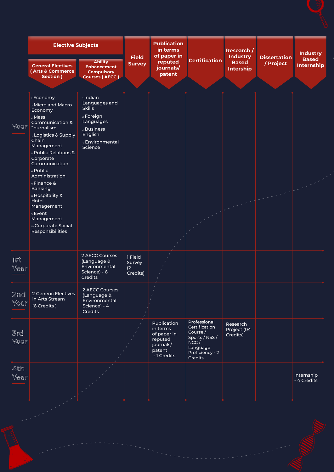|             | <b>Elective Subjects</b>                                                                                                                                                                                                                                                                                                                                                              |                                                                                                                                       | <b>Publication</b><br>in terms       |                                                                                        | Research /                                                                                                    |                                                     | <b>Industry</b>                  |                                   |
|-------------|---------------------------------------------------------------------------------------------------------------------------------------------------------------------------------------------------------------------------------------------------------------------------------------------------------------------------------------------------------------------------------------|---------------------------------------------------------------------------------------------------------------------------------------|--------------------------------------|----------------------------------------------------------------------------------------|---------------------------------------------------------------------------------------------------------------|-----------------------------------------------------|----------------------------------|-----------------------------------|
|             | <b>General Electives</b><br>(Arts & Commerce<br>Section )                                                                                                                                                                                                                                                                                                                             | <b>Ability</b><br><b>Enhancement</b><br><b>Compulsory</b><br><b>Courses (AECC)</b>                                                    | <b>Field</b><br><b>Survey</b>        | of paper in<br>reputed<br>journals/<br>patent                                          | <b>Certification</b>                                                                                          | <b>Industry</b><br><b>Based</b><br><b>Intership</b> | <b>Dissertation</b><br>/ Project | <b>Based</b><br><b>Internship</b> |
|             |                                                                                                                                                                                                                                                                                                                                                                                       |                                                                                                                                       |                                      |                                                                                        |                                                                                                               |                                                     |                                  |                                   |
| Year        | 1. Economy<br>2 Micro and Macro<br>Economy<br>3. Mass<br>Communication &<br><b>Journalism</b><br>4. Logistics & Supply<br>Chain<br>Management<br>s. Public Relations &<br>Corporate<br>Communication<br>6. Public<br>Administration<br>z Finance &<br><b>Banking</b><br>8. Hospitality &<br>Hotel<br>Management<br>9. Event<br>Management<br>10. Corporate Social<br>Responsibilities | L <b>Indian</b><br>Languages and<br><b>Skills</b><br>2. Foreign<br>Languages<br>3. Business<br>English<br>4. Environmental<br>Science |                                      |                                                                                        |                                                                                                               |                                                     |                                  |                                   |
| lst<br>Year |                                                                                                                                                                                                                                                                                                                                                                                       | 2 AECC Courses<br>(Language &<br>Environmental<br>Science) - 6<br>Credits                                                             | 1 Field<br>Survey<br>(2)<br>Credits) |                                                                                        |                                                                                                               |                                                     |                                  |                                   |
| 2nd<br>Year | 2 Generic Electives<br>in Arts Stream<br>(6 Credits)                                                                                                                                                                                                                                                                                                                                  | 2 AECC Courses<br>(Language &<br>Environmental<br>Science) - 4<br>Credits                                                             |                                      |                                                                                        |                                                                                                               |                                                     |                                  |                                   |
| 3rd<br>Year |                                                                                                                                                                                                                                                                                                                                                                                       |                                                                                                                                       |                                      | Publication<br>in terms<br>of paper in<br>reputed<br>journals/<br>patent<br>-1 Credits | Professional<br>Certification<br>Course /<br>Sports / NSS /<br>NCC/<br>Language<br>Proficiency - 2<br>Credits | Research<br>Project (04<br>Credits)                 |                                  |                                   |
| 4th<br>Year |                                                                                                                                                                                                                                                                                                                                                                                       |                                                                                                                                       |                                      |                                                                                        |                                                                                                               |                                                     |                                  | Internship<br>- 4 Credits         |